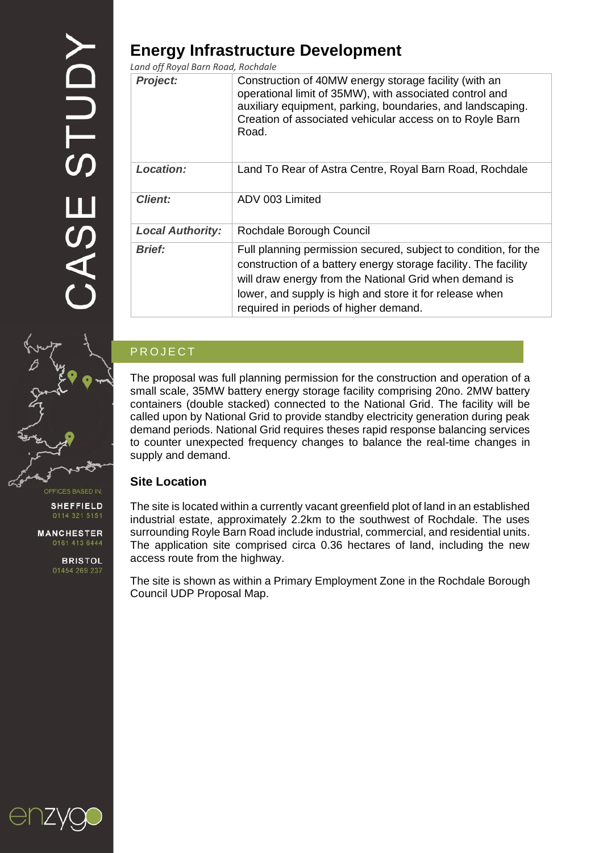# **Energy Infrastructure Development**

*Land off Royal Barn Road, Rochdale*

| <b>Project:</b>         | Construction of 40MW energy storage facility (with an<br>operational limit of 35MW), with associated control and<br>auxiliary equipment, parking, boundaries, and landscaping.<br>Creation of associated vehicular access on to Royle Barn<br>Road.                                              |
|-------------------------|--------------------------------------------------------------------------------------------------------------------------------------------------------------------------------------------------------------------------------------------------------------------------------------------------|
| <b>Location:</b>        | Land To Rear of Astra Centre, Royal Barn Road, Rochdale                                                                                                                                                                                                                                          |
| <b>Client:</b>          | ADV 003 Limited                                                                                                                                                                                                                                                                                  |
| <b>Local Authority:</b> | Rochdale Borough Council                                                                                                                                                                                                                                                                         |
| <b>Brief:</b>           | Full planning permission secured, subject to condition, for the<br>construction of a battery energy storage facility. The facility<br>will draw energy from the National Grid when demand is<br>lower, and supply is high and store it for release when<br>required in periods of higher demand. |

## **PROJECT**

The proposal was full planning permission for the construction and operation of a small scale, 35MW battery energy storage facility comprising 20no. 2MW battery containers (double stacked) connected to the National Grid. The facility will be called upon by National Grid to provide standby electricity generation during peak demand periods. National Grid requires theses rapid response balancing services to counter unexpected frequency changes to balance the real-time changes in supply and demand.

## **Site Location**

The site is located within a currently vacant greenfield plot of land in an established industrial estate, approximately 2.2km to the southwest of Rochdale. The uses surrounding Royle Barn Road include industrial, commercial, and residential units. The application site comprised circa 0.36 hectares of land, including the new access route from the highway.

The site is shown as within a Primary Employment Zone in the Rochdale Borough Council UDP Proposal Map.



**MANCHESTER** 0161 413 6444

> **BRISTOL** 01454 269 237

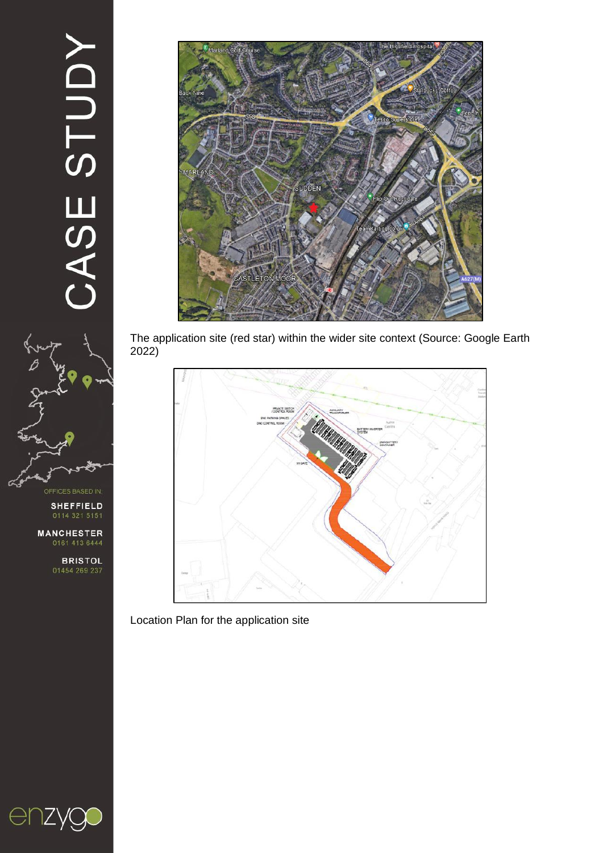# CASE STUDY



**ICES BASED IN** 

**SHEFFIELD** 

**MANCHESTER** 

**BRISTOL**<br>01454 269 237



The application site (red star) within the wider site context (Source: Google Earth 2022)



Location Plan for the application site

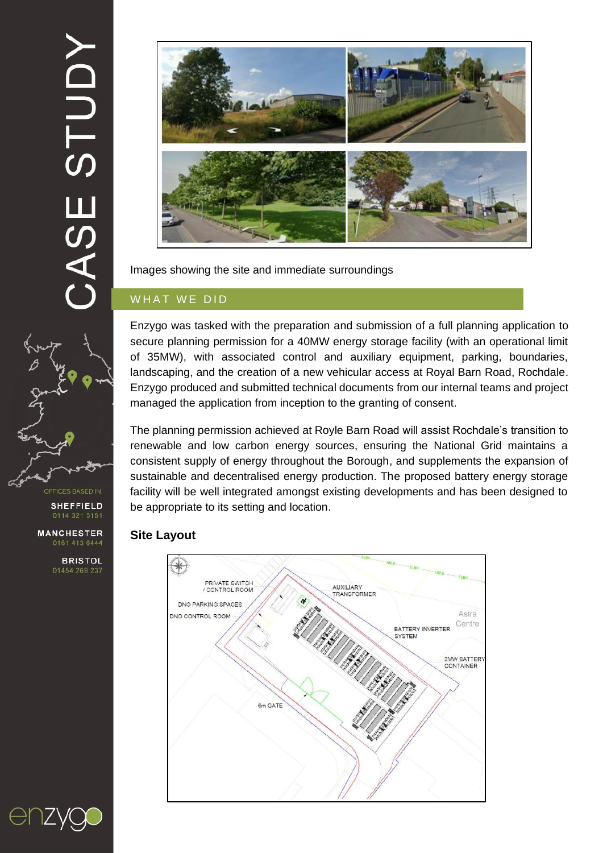ASE STUDY



Images showing the site and immediate surroundings

## WHAT WE DID

Enzygo was tasked with the preparation and submission of a full planning application to secure planning permission for a 40MW energy storage facility (with an operational limit of 35MW), with associated control and auxiliary equipment, parking, boundaries, landscaping, and the creation of a new vehicular access at Royal Barn Road, Rochdale. Enzygo produced and submitted technical documents from our internal teams and project managed the application from inception to the granting of consent.

The planning permission achieved at Royle Barn Road will assist Rochdale's transition to renewable and low carbon energy sources, ensuring the National Grid maintains a consistent supply of energy throughout the Borough, and supplements the expansion of sustainable and decentralised energy production. The proposed battery energy storage facility will be well integrated amongst existing developments and has been designed to be appropriate to its setting and location.

### **Site Layout**





**BRISTOL** 01454 269 237